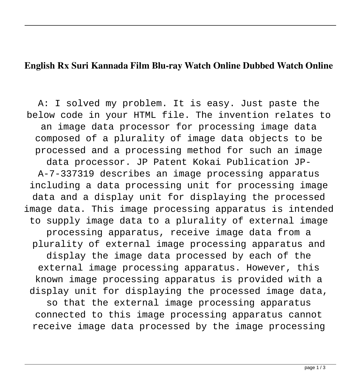## **English Rx Suri Kannada Film Blu-ray Watch Online Dubbed Watch Online**

A: I solved my problem. It is easy. Just paste the below code in your HTML file. The invention relates to an image data processor for processing image data composed of a plurality of image data objects to be processed and a processing method for such an image data processor. JP Patent Kokai Publication JP-A-7-337319 describes an image processing apparatus including a data processing unit for processing image data and a display unit for displaying the processed image data. This image processing apparatus is intended to supply image data to a plurality of external image processing apparatus, receive image data from a plurality of external image processing apparatus and display the image data processed by each of the external image processing apparatus. However, this known image processing apparatus is provided with a display unit for displaying the processed image data, so that the external image processing apparatus connected to this image processing apparatus cannot receive image data processed by the image processing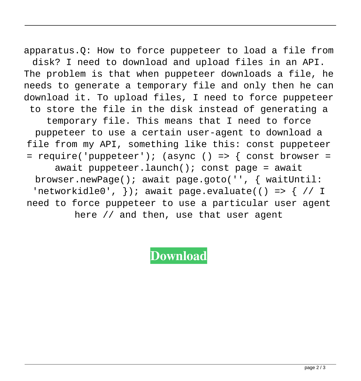apparatus.Q: How to force puppeteer to load a file from disk? I need to download and upload files in an API. The problem is that when puppeteer downloads a file, he needs to generate a temporary file and only then he can download it. To upload files, I need to force puppeteer to store the file in the disk instead of generating a temporary file. This means that I need to force puppeteer to use a certain user-agent to download a file from my API, something like this: const puppeteer = require('puppeteer'); (async () => { const browser = await puppeteer.launch(); const page = await browser.newPage(); await page.goto('', { waitUntil: 'networkidle0',  $\}$ ); await page.evaluate(() => { // I need to force puppeteer to use a particular user agent here // and then, use that user agent

**[Download](http://evacdir.com/ZG93bmxvYWR8OEMzYVdSemZId3hOalV5TnpRd09EWTJmSHd5TlRjMGZId29UU2tnY21WaFpDMWliRzluSUZ0R1lYTjBJRWRGVGww/cnggc3VyaSBrYW5uYWRhIGZ1bGwgbW92aWUgaGQgZG93bmxvYWRpbnN0bWFuawcng/juniper?stoakley=darlington&leaky=mcgleish&stepped=)**